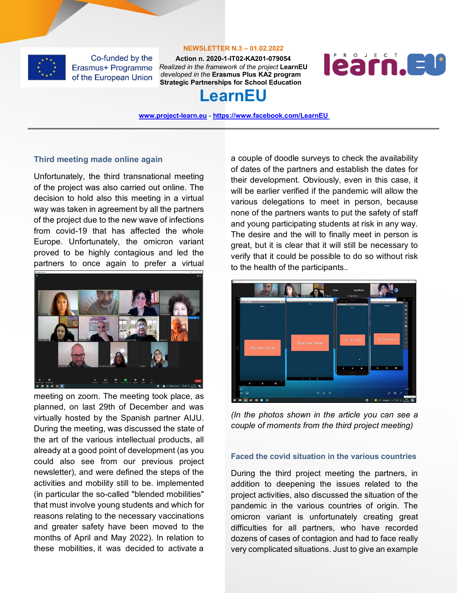

#### **NEWSLETTER N.3 – 01.02.2022**

**Action n. 2020-1-IT02-KA201-079054** *Realized in the framework of the project* **LearnEU** *developed in the* **Erasmus Plus KA2 program Strategic Partnerships for School Education**



## **LearnEU**

**[www.project-learn.eu](http://www.project-learn.eu/)** - **<https://www.facebook.com/LearnEU>**

### **Third meeting made online again**

Unfortunately, the third transnational meeting of the project was also carried out online. The decision to hold also this meeting in a virtual way was taken in agreement by all the partners of the project due to the new wave of infections from covid-19 that has affected the whole Europe. Unfortunately, the omicron variant proved to be highly contagious and led the partners to once again to prefer a virtual



meeting on zoom. The meeting took place, as planned, on last 29th of December and was virtually hosted by the Spanish partner AIJU. During the meeting, was discussed the state of the art of the various intellectual products, all already at a good point of development (as you could also see from our previous project newsletter), and were defined the steps of the activities and mobility still to be. implemented (in particular the so-called "blended mobilities" that must involve young students and which for reasons relating to the necessary vaccinations and greater safety have been moved to the months of April and May 2022). In relation to these mobilities, it was decided to activate a

a couple of doodle surveys to check the availability of dates of the partners and establish the dates for their development. Obviously, even in this case, it will be earlier verified if the pandemic will allow the various delegations to meet in person, because none of the partners wants to put the safety of staff and young participating students at risk in any way. The desire and the will to finally meet in person is great, but it is clear that it will still be necessary to verify that it could be possible to do so without risk to the health of the participants..

| C Zoon Runking               |                                                      |                                         | $\sigma$<br>×                                                                       |
|------------------------------|------------------------------------------------------|-----------------------------------------|-------------------------------------------------------------------------------------|
| artificiation<br>her strings | Tosto<br><b>Nord Vallers</b>                         | Hugo Ribeiro<br>Tiziana<br># Hups Roard | <u>F dur bernis</u>                                                                 |
| scate Ats - Roll, MCD3M      | Experience - Town 222<br><b>BUT END</b><br><b>DO</b> | $\alpha$                                | D<br>×<br>External Man State (SM)                                                   |
| 277060<br>$\sqrt{1}$         | $\overline{\phantom{a}}$                             | 107 0 8 0<br>v.                         | 142/00<br>CAT<br>и                                                                  |
| <b>Hame</b>                  |                                                      | Hora.                                   | available<br>$\circ$                                                                |
|                              |                                                      |                                         | $\bullet$                                                                           |
|                              |                                                      |                                         | ٠                                                                                   |
|                              |                                                      |                                         | $\circ$                                                                             |
|                              |                                                      |                                         | $\circ$                                                                             |
|                              |                                                      |                                         | ø                                                                                   |
|                              |                                                      |                                         |                                                                                     |
|                              |                                                      |                                         | $\mathbf{q}_i$                                                                      |
|                              |                                                      |                                         | ğ.                                                                                  |
|                              |                                                      | Play New Game                           | $\circ$<br>Yeni Oyuna Başla                                                         |
|                              | Play New Game                                        |                                         | $\Box$                                                                              |
| Play New Game                |                                                      |                                         | E                                                                                   |
|                              |                                                      |                                         |                                                                                     |
|                              |                                                      |                                         |                                                                                     |
|                              |                                                      |                                         |                                                                                     |
|                              |                                                      | $\mathbf{v}$                            |                                                                                     |
|                              |                                                      |                                         |                                                                                     |
|                              |                                                      | ٠<br>٠<br>п                             | п<br>z<br>٠                                                                         |
|                              |                                                      |                                         |                                                                                     |
|                              |                                                      |                                         |                                                                                     |
| ٠                            | ٠<br>٠<br>٠                                          |                                         |                                                                                     |
| ×<br>٠<br>4                  |                                                      |                                         |                                                                                     |
| 2,000                        |                                                      |                                         | 0.0891                                                                              |
|                              | $\blacklozenge$                                      |                                         |                                                                                     |
| $\blacksquare$<br>dil        | Q.<br>$\alpha$                                       |                                         | $\mathscr{O}$<br>$\blacksquare$<br>$\mathcal{L}_{\mathbf{a},\mathbf{b},\mathbf{c}}$ |
| 园<br>Ξ<br>۰                  |                                                      | $\bullet$                               | 20 nonze notri che<br>$\bullet$ SPC Suegaro $\land$ (2.4K m success)<br>見           |

*(In the photos shown in the article you can see a couple of moments from the third project meeting)*

## **Faced the covid situation in the various countries**

During the third project meeting the partners, in addition to deepening the issues related to the project activities, also discussed the situation of the pandemic in the various countries of origin. The omicron variant is unfortunately creating great difficulties for all partners, who have recorded dozens of cases of contagion and had to face really very complicated situations. Just to give an example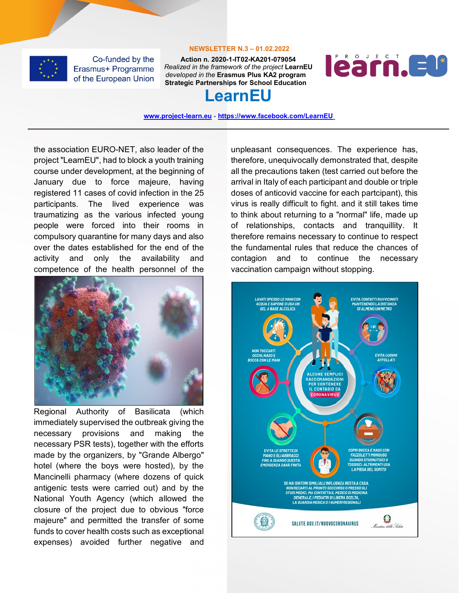

#### **NEWSLETTER N.3 – 01.02.2022**

**Action n. 2020-1-IT02-KA201-079054** *Realized in the framework of the project* **LearnEU** *developed in the* **Erasmus Plus KA2 program Strategic Partnerships for School Education**



# **LearnEU**

**[www.project-learn.eu](http://www.project-learn.eu/)** - **<https://www.facebook.com/LearnEU>**

the association EURO-NET, also leader of the project "LearnEU", had to block a youth training course under development, at the beginning of January due to force majeure, having registered 11 cases of covid infection in the 25 participants. The lived experience was traumatizing as the various infected young people were forced into their rooms in compulsory quarantine for many days and also over the dates established for the end of the activity and only the availability and competence of the health personnel of the



Regional Authority of Basilicata (which immediately supervised the outbreak giving the necessary provisions and making the necessary PSR tests), together with the efforts made by the organizers, by "Grande Albergo" hotel (where the boys were hosted), by the Mancinelli pharmacy (where dozens of quick antigenic tests were carried out) and by the National Youth Agency (which allowed the closure of the project due to obvious "force majeure" and permitted the transfer of some funds to cover health costs such as exceptional expenses) avoided further negative and

unpleasant consequences. The experience has, therefore, unequivocally demonstrated that, despite all the precautions taken (test carried out before the arrival in Italy of each participant and double or triple doses of anticovid vaccine for each partcipant), this virus is really difficult to fight. and it still takes time to think about returning to a "normal" life, made up of relationships, contacts and tranquillity. It therefore remains necessary to continue to respect the fundamental rules that reduce the chances of contagion and to continue the necessary vaccination campaign without stopping.

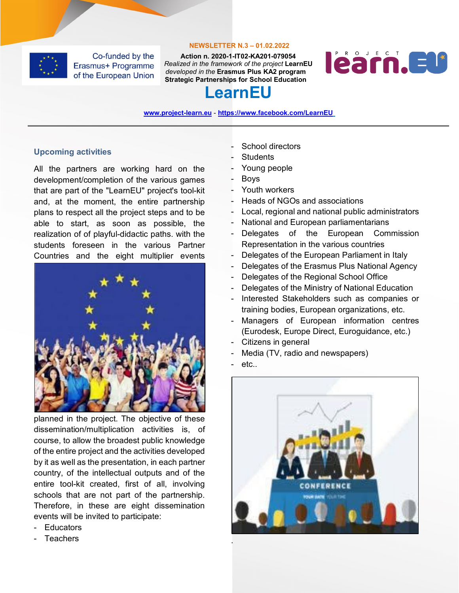

#### **NEWSLETTER N.3 – 01.02.2022**

**Action n. 2020-1-IT02-KA201-079054** *Realized in the framework of the project* **LearnEU** *developed in the* **Erasmus Plus KA2 program Strategic Partnerships for School Education**



# **LearnEU**

**[www.project-learn.eu](http://www.project-learn.eu/)** - **<https://www.facebook.com/LearnEU>**

## **Upcoming activities**

All the partners are working hard on the development/completion of the various games that are part of the "LearnEU" project's tool-kit and, at the moment, the entire partnership plans to respect all the project steps and to be able to start, as soon as possible, the realization of of playful-didactic paths. with the students foreseen in the various Partner Countries and the eight multiplier events



planned in the project. The objective of these dissemination/multiplication activities is, of course, to allow the broadest public knowledge of the entire project and the activities developed by it as well as the presentation, in each partner country, of the intellectual outputs and of the entire tool-kit created, first of all, involving schools that are not part of the partnership. Therefore, in these are eight dissemination events will be invited to participate:

- Educators
- **Teachers**
- School directors
- **Students**
- Young people
- Boys
- Youth workers
- Heads of NGOs and associations
- Local, regional and national public administrators
- National and European parliamentarians
- Delegates of the European Commission Representation in the various countries
- Delegates of the European Parliament in Italy
- Delegates of the Erasmus Plus National Agency
- Delegates of the Regional School Office
- Delegates of the Ministry of National Education
- Interested Stakeholders such as companies or training bodies, European organizations, etc.
- Managers of European information centres (Eurodesk, Europe Direct, Euroguidance, etc.)
- Citizens in general
- Media (TV, radio and newspapers)
- etc.